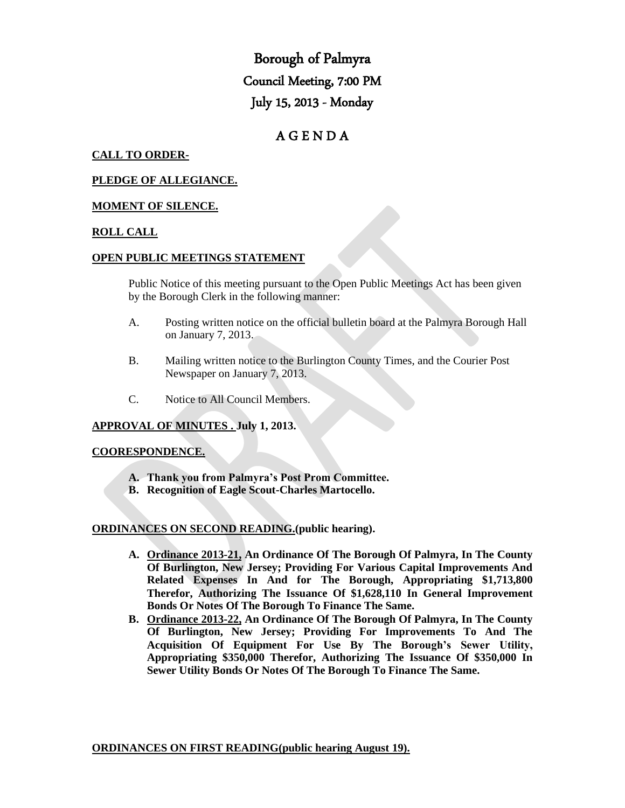Borough of Palmyra Council Meeting, 7:00 PM July 15, 2013 - Monday

# A G E N D A

## **CALL TO ORDER-**

### **PLEDGE OF ALLEGIANCE.**

#### **MOMENT OF SILENCE.**

#### **ROLL CALL**

#### **OPEN PUBLIC MEETINGS STATEMENT**

Public Notice of this meeting pursuant to the Open Public Meetings Act has been given by the Borough Clerk in the following manner:

- A. Posting written notice on the official bulletin board at the Palmyra Borough Hall on January 7, 2013.
- B. Mailing written notice to the Burlington County Times, and the Courier Post Newspaper on January 7, 2013.
- C. Notice to All Council Members.

## **APPROVAL OF MINUTES . July 1, 2013.**

#### **COORESPONDENCE.**

- **A. Thank you from Palmyra's Post Prom Committee.**
- **B. Recognition of Eagle Scout-Charles Martocello.**

#### **ORDINANCES ON SECOND READING.(public hearing).**

- **A. Ordinance 2013-21, An Ordinance Of The Borough Of Palmyra, In The County Of Burlington, New Jersey; Providing For Various Capital Improvements And Related Expenses In And for The Borough, Appropriating \$1,713,800 Therefor, Authorizing The Issuance Of \$1,628,110 In General Improvement Bonds Or Notes Of The Borough To Finance The Same.**
- **B. Ordinance 2013-22, An Ordinance Of The Borough Of Palmyra, In The County Of Burlington, New Jersey; Providing For Improvements To And The Acquisition Of Equipment For Use By The Borough's Sewer Utility, Appropriating \$350,000 Therefor, Authorizing The Issuance Of \$350,000 In Sewer Utility Bonds Or Notes Of The Borough To Finance The Same.**

**ORDINANCES ON FIRST READING(public hearing August 19).**